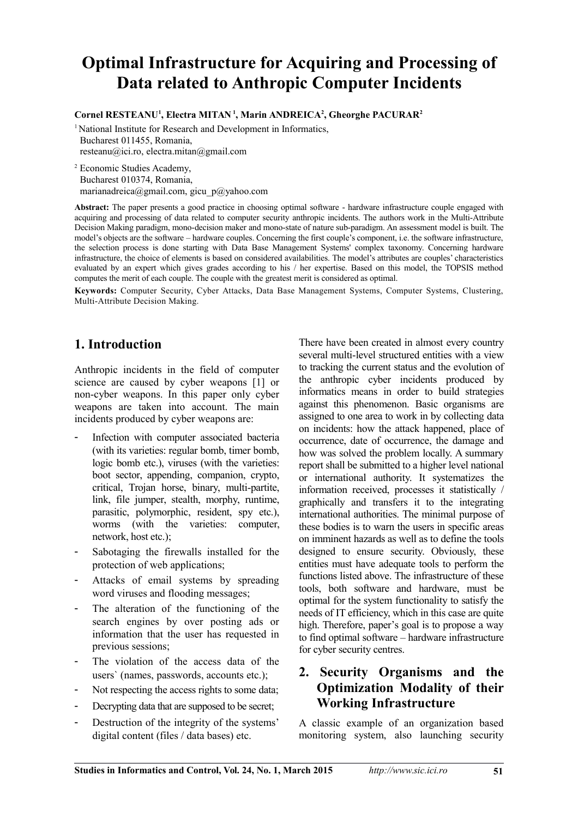# **Optimal Infrastructure for Acquiring and Processing of Data related to Anthropic Computer Incidents**

**Cornel RESTEANU<sup>1</sup> , Electra MITAN<sup>1</sup>, Marin ANDREICA<sup>2</sup> , Gheorghe PACURAR<sup>2</sup>**

<sup>1</sup> National Institute for Research and Development in Informatics, Bucharest 011455, Romania, resteanu@ici.ro, electra.mitan@gmail.com

2 Economic Studies Academy, Bucharest 010374, Romania, marianadreica@gmail.com, gicu\_p@yahoo.com

**Abstract:** The paper presents a good practice in choosing optimal software - hardware infrastructure couple engaged with acquiring and processing of data related to computer security anthropic incidents. The authors work in the Multi-Attribute Decision Making paradigm, mono-decision maker and mono-state of nature sub-paradigm. An assessment model is built. The model's objects are the software – hardware couples. Concerning the first couple's component, i.e. the software infrastructure, the selection process is done starting with Data Base Management Systems' complex taxonomy. Concerning hardware infrastructure, the choice of elements is based on considered availabilities. The model's attributes are couples' characteristics evaluated by an expert which gives grades according to his / her expertise. Based on this model, the TOPSIS method computes the merit of each couple. The couple with the greatest merit is considered as optimal.

**Keywords:** Computer Security, Cyber Attacks, Data Base Management Systems, Computer Systems, Clustering, Multi-Attribute Decision Making.

# **1. Introduction**

Anthropic incidents in the field of computer science are caused by cyber weapons [1] or non-cyber weapons. In this paper only cyber weapons are taken into account. The main incidents produced by cyber weapons are:

- Infection with computer associated bacteria (with its varieties: regular bomb, timer bomb, logic bomb etc.), viruses (with the varieties: boot sector, appending, companion, crypto, critical, Trojan horse, binary, multi-partite, link, file jumper, stealth, morphy, runtime, parasitic, polymorphic, resident, spy etc.), worms (with the varieties: computer, network, host etc.);
- Sabotaging the firewalls installed for the protection of web applications;
- Attacks of email systems by spreading word viruses and flooding messages;
- The alteration of the functioning of the search engines by over posting ads or information that the user has requested in previous sessions;
- The violation of the access data of the users` (names, passwords, accounts etc.);
- Not respecting the access rights to some data;
- Decrypting data that are supposed to be secret;
- Destruction of the integrity of the systems' digital content (files / data bases) etc.

There have been created in almost every country several multi-level structured entities with a view to tracking the current status and the evolution of the anthropic cyber incidents produced by informatics means in order to build strategies against this phenomenon. Basic organisms are assigned to one area to work in by collecting data on incidents: how the attack happened, place of occurrence, date of occurrence, the damage and how was solved the problem locally. A summary report shall be submitted to a higher level national or international authority. It systematizes the information received, processes it statistically / graphically and transfers it to the integrating international authorities. The minimal purpose of these bodies is to warn the users in specific areas on imminent hazards as well as to define the tools designed to ensure security. Obviously, these entities must have adequate tools to perform the functions listed above. The infrastructure of these tools, both software and hardware, must be optimal for the system functionality to satisfy the needs of IT efficiency, which in this case are quite high. Therefore, paper's goal is to propose a way to find optimal software – hardware infrastructure for cyber security centres.

# **2. Security Organisms and the Optimization Modality of their Working Infrastructure**

A classic example of an organization based monitoring system, also launching security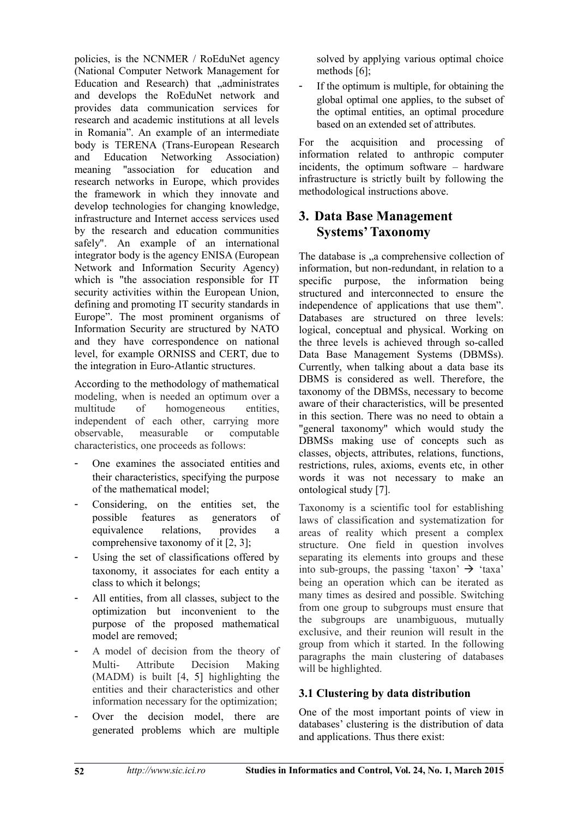policies, is the NCNMER / RoEduNet agency (National Computer Network Management for Education and Research) that "administrates and develops the RoEduNet network and provides data communication services for research and academic institutions at all levels in Romania". An example of an intermediate body is TERENA (Trans-European Research and Education Networking Association) meaning "association for education and research networks in Europe, which provides the framework in which they innovate and develop technologies for changing knowledge, infrastructure and Internet access services used by the research and education communities safely". An example of an international integrator body is the agency ENISA (European Network and Information Security Agency) which is "the association responsible for IT security activities within the European Union, defining and promoting IT security standards in Europe". The most prominent organisms of Information Security are structured by NATO and they have correspondence on national level, for example ORNISS and CERT, due to the integration in Euro-Atlantic structures.

According to the methodology of mathematical modeling, when is needed an optimum over a multitude of homogeneous entities, independent of each other, carrying more observable, measurable or computable characteristics, one proceeds as follows:

- One examines the associated entities and their characteristics, specifying the purpose of the mathematical model;
- Considering, on the entities set, the possible features as generators of equivalence relations, provides a comprehensive taxonomy of it [2, 3];
- Using the set of classifications offered by taxonomy, it associates for each entity a class to which it belongs;
- All entities, from all classes, subject to the optimization but inconvenient to the purpose of the proposed mathematical model are removed;
- A model of decision from the theory of Multi- Attribute Decision Making (MADM) is built [4, 5] highlighting the entities and their characteristics and other information necessary for the optimization;
- Over the decision model, there are generated problems which are multiple

solved by applying various optimal choice methods  $[6]$ ;

If the optimum is multiple, for obtaining the global optimal one applies, to the subset of the optimal entities, an optimal procedure based on an extended set of attributes.

For the acquisition and processing of information related to anthropic computer incidents, the optimum software – hardware infrastructure is strictly built by following the methodological instructions above.

## **3. Data Base Management Systems'Taxonomy**

The database is ..a comprehensive collection of information, but non-redundant, in relation to a specific purpose, the information being structured and interconnected to ensure the independence of applications that use them". Databases are structured on three levels: logical, conceptual and physical. Working on the three levels is achieved through so-called Data Base Management Systems (DBMSs). Currently, when talking about a data base its DBMS is considered as well. Therefore, the taxonomy of the DBMSs, necessary to become aware of their characteristics, will be presented in this section. There was no need to obtain a "general taxonomy" which would study the DBMSs making use of concepts such as classes, objects, attributes, relations, functions, restrictions, rules, axioms, events etc, in other words it was not necessary to make an ontological study [7].

Taxonomy is a scientific tool for establishing laws of classification and systematization for areas of reality which present a complex structure. One field in question involves separating its elements into groups and these into sub-groups, the passing 'taxon'  $\rightarrow$  'taxa' being an operation which can be iterated as many times as desired and possible. Switching from one group to subgroups must ensure that the subgroups are unambiguous, mutually exclusive, and their reunion will result in the group from which it started. In the following paragraphs the main clustering of databases will be highlighted.

#### **3.1 Clustering by data distribution**

One of the most important points of view in databases' clustering is the distribution of data and applications. Thus there exist: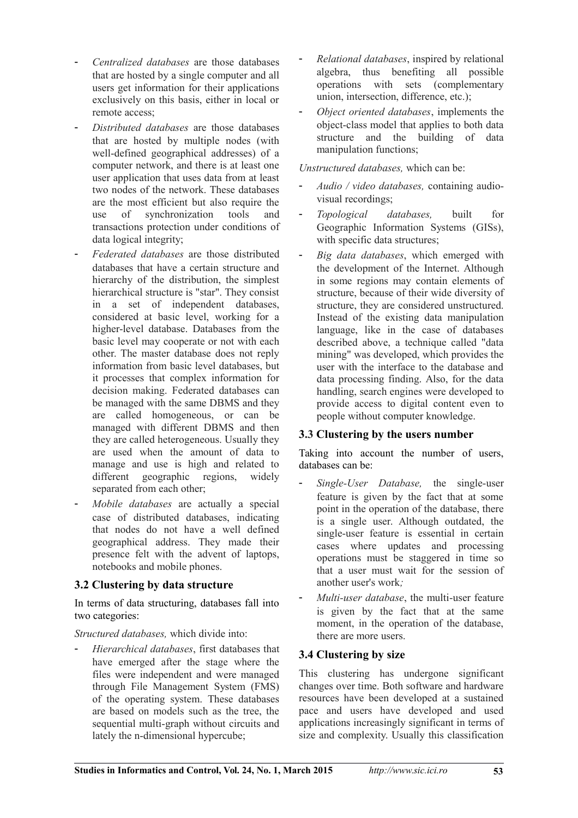- *Centralized databases* are those databases that are hosted by a single computer and all users get information for their applications exclusively on this basis, either in local or remote access;
- *Distributed databases* are those databases that are hosted by multiple nodes (with well-defined geographical addresses) of a computer network, and there is at least one user application that uses data from at least two nodes of the network. These databases are the most efficient but also require the use of synchronization tools and transactions protection under conditions of data logical integrity;
- *Federated databases* are those distributed databases that have a certain structure and hierarchy of the distribution, the simplest hierarchical structure is "star". They consist in a set of independent databases, considered at basic level, working for a higher-level database. Databases from the basic level may cooperate or not with each other. The master database does not reply information from basic level databases, but it processes that complex information for decision making. Federated databases can be managed with the same DBMS and they are called homogeneous, or can be managed with different DBMS and then they are called heterogeneous. Usually they are used when the amount of data to manage and use is high and related to different geographic regions, widely separated from each other;
- *Mobile databases* are actually a special case of distributed databases, indicating that nodes do not have a well defined geographical address. They made their presence felt with the advent of laptops, notebooks and mobile phones.

#### **3.2 Clustering by data structure**

In terms of data structuring, databases fall into two categories:

*Structured databases,* which divide into:

- *Hierarchical databases*, first databases that have emerged after the stage where the files were independent and were managed through File Management System (FMS) of the operating system. These databases are based on models such as the tree, the sequential multi-graph without circuits and lately the n-dimensional hypercube;

- *Relational databases*, inspired by relational algebra, thus benefiting all possible operations with sets (complementary union, intersection, difference, etc.);
- *Object oriented databases*, implements the object-class model that applies to both data structure and the building of data manipulation functions;

#### *Unstructured databases,* which can be:

- *Audio / video databases,* containing audiovisual recordings;
- *Topological databases,* built for Geographic Information Systems (GISs), with specific data structures;
- *Big data databases*, which emerged with the development of the Internet. Although in some regions may contain elements of structure, because of their wide diversity of structure, they are considered unstructured. Instead of the existing data manipulation language, like in the case of databases described above, a technique called "data mining" was developed, which provides the user with the interface to the database and data processing finding. Also, for the data handling, search engines were developed to provide access to digital content even to people without computer knowledge.

#### **3.3 Clustering by the users number**

Taking into account the number of users, databases can be:

- *Single-User Database,* the single-user feature is given by the fact that at some point in the operation of the database, there is a single user. Although outdated, the single-user feature is essential in certain cases where updates and processing operations must be staggered in time so that a user must wait for the session of another user's work*;*
- *Multi-user database*, the multi-user feature is given by the fact that at the same moment, in the operation of the database, there are more users.

#### **3.4 Clustering by size**

This clustering has undergone significant changes over time. Both software and hardware resources have been developed at a sustained pace and users have developed and used applications increasingly significant in terms of size and complexity. Usually this classification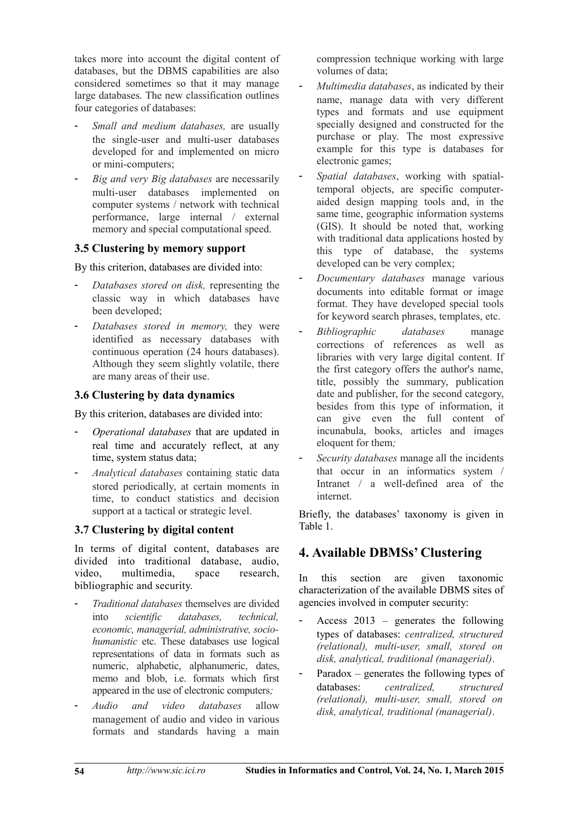takes more into account the digital content of databases, but the DBMS capabilities are also considered sometimes so that it may manage large databases. The new classification outlines four categories of databases:

- *Small and medium databases,* are usually the single-user and multi-user databases developed for and implemented on micro or mini-computers;
- *Big and very Big databases* are necessarily multi-user databases implemented on computer systems / network with technical performance, large internal / external memory and special computational speed.

#### **3.5 Clustering by memory support**

By this criterion, databases are divided into:

- *Databases stored on disk,* representing the classic way in which databases have been developed;
- *Databases stored in memory,* they were identified as necessary databases with continuous operation (24 hours databases). Although they seem slightly volatile, there are many areas of their use.

#### **3.6 Clustering by data dynamics**

By this criterion, databases are divided into:

- *Operational databases* that are updated in real time and accurately reflect, at any time, system status data;
- *Analytical databases* containing static data stored periodically, at certain moments in time, to conduct statistics and decision support at a tactical or strategic level.

#### **3.7 Clustering by digital content**

In terms of digital content, databases are divided into traditional database, audio, video, multimedia, space research, bibliographic and security.

- *Traditional databases* themselves are divided into *scientific databases, technical, economic, managerial, administrative, sociohumanistic* etc. These databases use logical representations of data in formats such as numeric, alphabetic, alphanumeric, dates, memo and blob, i.e. formats which first appeared in the use of electronic computers*;*
- *Audio and video databases* allow management of audio and video in various formats and standards having a main

compression technique working with large volumes of data;

- *Multimedia databases*, as indicated by their name, manage data with very different types and formats and use equipment specially designed and constructed for the purchase or play. The most expressive example for this type is databases for electronic games;
- *Spatial databases*, working with spatialtemporal objects, are specific computeraided design mapping tools and, in the same time, geographic information systems (GIS). It should be noted that, working with traditional data applications hosted by this type of database, the systems developed can be very complex;
- *Documentary databases* manage various documents into editable format or image format. They have developed special tools for keyword search phrases, templates, etc.
- *Bibliographic databases* manage corrections of references as well as libraries with very large digital content. If the first category offers the author's name, title, possibly the summary, publication date and publisher, for the second category, besides from this type of information, it can give even the full content of incunabula, books, articles and images eloquent for them*;*
- *Security databases* manage all the incidents that occur in an informatics system / Intranet / a well-defined area of the internet.

Briefly, the databases' taxonomy is given in Table 1.

## **4. Available DBMSs' Clustering**

In this section are given taxonomic characterization of the available DBMS sites of agencies involved in computer security:

- Access  $2013$  generates the following types of databases: *centralized, structured (relational), multi-user, small, stored on disk, analytical, traditional (managerial)*.
- Paradox generates the following types of databases: *centralized, structured (relational), multi-user, small, stored on disk, analytical, traditional (managerial)*.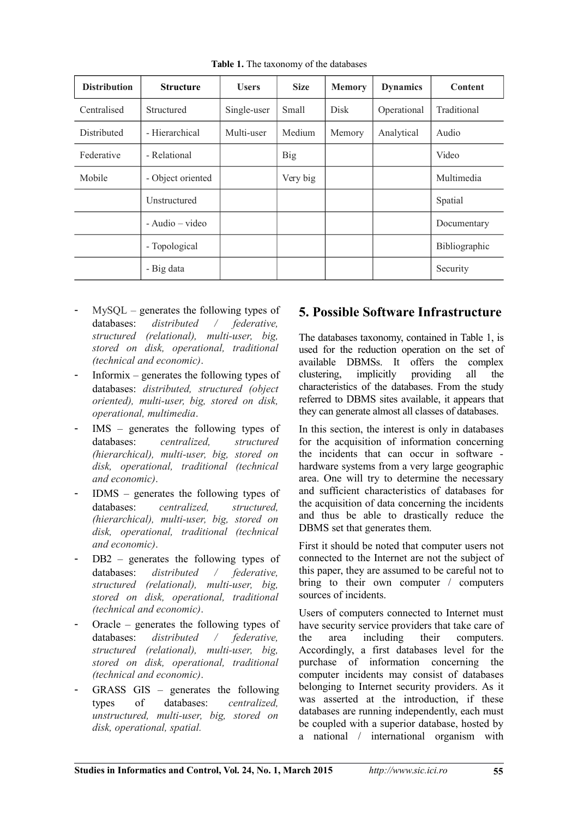| <b>Distribution</b> | <b>Structure</b>    | <b>Users</b> | <b>Size</b> | <b>Memory</b> | <b>Dynamics</b> | Content       |  |
|---------------------|---------------------|--------------|-------------|---------------|-----------------|---------------|--|
| Centralised         | Structured          | Single-user  | Small       | <b>Disk</b>   | Operational     | Traditional   |  |
| <b>Distributed</b>  | - Hierarchical      | Multi-user   | Medium      | Memory        | Analytical      | Audio         |  |
| Federative          | - Relational        |              | Big         |               |                 | Video         |  |
| Mobile              | - Object oriented   |              | Very big    |               |                 | Multimedia    |  |
|                     | Unstructured        |              |             |               |                 | Spatial       |  |
|                     | $-$ Audio $-$ video |              |             |               |                 | Documentary   |  |
|                     | - Topological       |              |             |               |                 | Bibliographic |  |
|                     | - Big data          |              |             |               |                 | Security      |  |

**Table 1.** The taxonomy of the databases

- $MySQL$  generates the following types of databases: *distributed / federative, structured (relational), multi-user, big, stored on disk, operational, traditional (technical and economic)*.
- Informix generates the following types of databases: *distributed, structured (object oriented), multi-user, big, stored on disk, operational, multimedia*.
- IMS generates the following types of databases: *centralized, structured (hierarchical), multi-user, big, stored on disk, operational, traditional (technical and economic)*.
- IDMS generates the following types of databases: *centralized, structured, (hierarchical), multi-user, big, stored on disk, operational, traditional (technical and economic)*.
- DB2 generates the following types of databases: *distributed / federative, structured (relational), multi-user, big, stored on disk, operational, traditional (technical and economic)*.
- Oracle generates the following types of databases: *distributed / federative, structured (relational), multi-user, big, stored on disk, operational, traditional (technical and economic)*.
- $GRASS$   $GIS$  generates the following types of databases: *centralized, unstructured, multi-user, big, stored on disk, operational, spatial.*

# **5. Possible Software Infrastructure**

The databases taxonomy, contained in Table 1, is used for the reduction operation on the set of available DBMSs. It offers the complex clustering, implicitly providing all the characteristics of the databases. From the study referred to DBMS sites available, it appears that they can generate almost all classes of databases.

In this section, the interest is only in databases for the acquisition of information concerning the incidents that can occur in software hardware systems from a very large geographic area. One will try to determine the necessary and sufficient characteristics of databases for the acquisition of data concerning the incidents and thus be able to drastically reduce the DBMS set that generates them.

First it should be noted that computer users not connected to the Internet are not the subject of this paper, they are assumed to be careful not to bring to their own computer / computers sources of incidents.

Users of computers connected to Internet must have security service providers that take care of the area including their computers. Accordingly, a first databases level for the purchase of information concerning the computer incidents may consist of databases belonging to Internet security providers. As it was asserted at the introduction, if these databases are running independently, each must be coupled with a superior database, hosted by a national / international organism with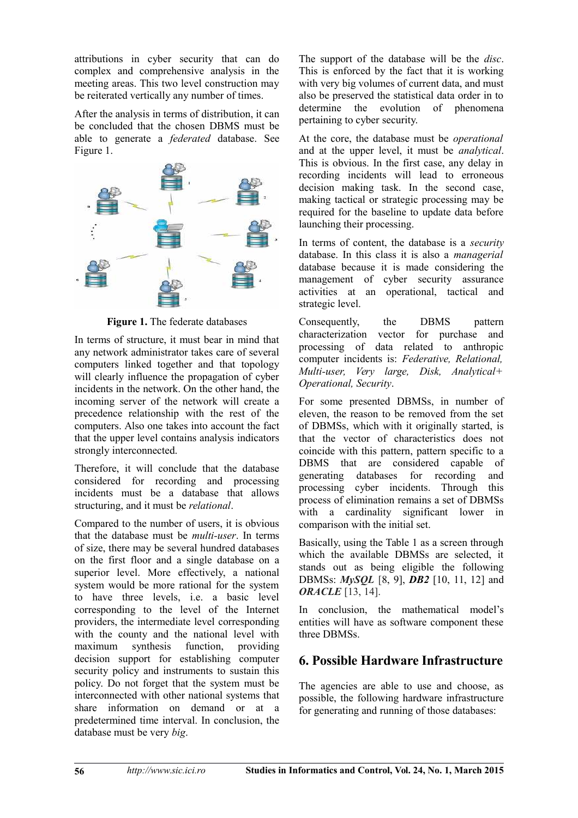attributions in cyber security that can do complex and comprehensive analysis in the meeting areas. This two level construction may be reiterated vertically any number of times.

After the analysis in terms of distribution, it can be concluded that the chosen DBMS must be able to generate a *federated* database. See Figure 1.



**Figure 1.** The federate databases

In terms of structure, it must bear in mind that any network administrator takes care of several computers linked together and that topology will clearly influence the propagation of cyber incidents in the network. On the other hand, the incoming server of the network will create a precedence relationship with the rest of the computers. Also one takes into account the fact that the upper level contains analysis indicators strongly interconnected.

Therefore, it will conclude that the database considered for recording and processing incidents must be a database that allows structuring, and it must be *relational*.

Compared to the number of users, it is obvious that the database must be *multi-user*. In terms of size, there may be several hundred databases on the first floor and a single database on a superior level. More effectively, a national system would be more rational for the system to have three levels, i.e. a basic level corresponding to the level of the Internet providers, the intermediate level corresponding with the county and the national level with maximum synthesis function, providing decision support for establishing computer security policy and instruments to sustain this policy. Do not forget that the system must be interconnected with other national systems that share information on demand or at a predetermined time interval. In conclusion, the database must be very *big*.

The support of the database will be the *disc*. This is enforced by the fact that it is working with very big volumes of current data, and must also be preserved the statistical data order in to determine the evolution of phenomena pertaining to cyber security.

At the core, the database must be *operational* and at the upper level, it must be *analytical*. This is obvious. In the first case, any delay in recording incidents will lead to erroneous decision making task. In the second case, making tactical or strategic processing may be required for the baseline to update data before launching their processing.

In terms of content, the database is a *security* database. In this class it is also a *managerial* database because it is made considering the management of cyber security assurance activities at an operational, tactical and strategic level.

Consequently, the DBMS pattern characterization vector for purchase and processing of data related to anthropic computer incidents is: *Federative, Relational, Multi-user, Very large, Disk, Analytical+ Operational, Security*.

For some presented DBMSs, in number of eleven, the reason to be removed from the set of DBMSs, which with it originally started, is that the vector of characteristics does not coincide with this pattern, pattern specific to a DBMS that are considered capable of generating databases for recording and processing cyber incidents. Through this process of elimination remains a set of DBMSs with a cardinality significant lower in comparison with the initial set.

Basically, using the Table 1 as a screen through which the available DBMSs are selected, it stands out as being eligible the following DBMSs: *MySQL* [8, 9], *DB2* [10, 11, 12] and *ORACLE* [13, 14].

In conclusion, the mathematical model's entities will have as software component these three DBMSs.

# **6. Possible Hardware Infrastructure**

The agencies are able to use and choose, as possible, the following hardware infrastructure for generating and running of those databases: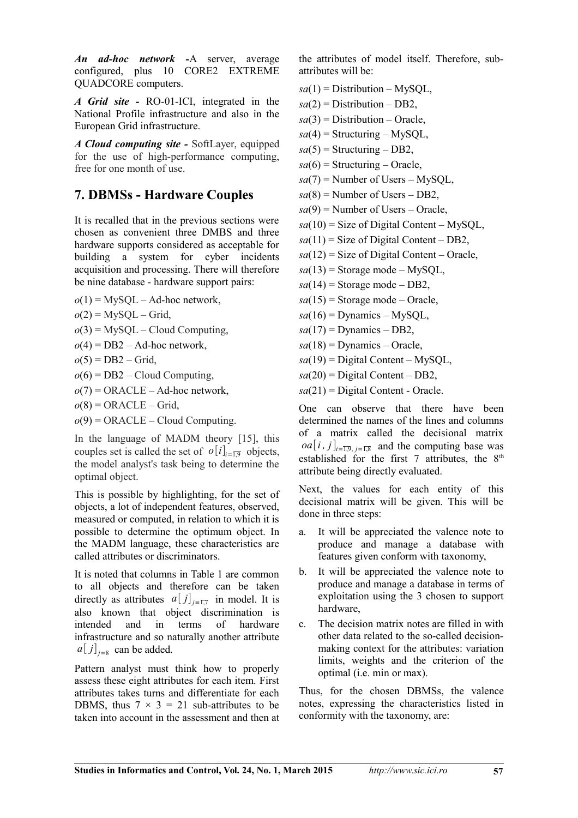*An ad-hoc network -*A server, average configured, plus 10 CORE2 EXTREME QUADCORE computers.

*A Grid site -* RO-01-ICI, integrated in the National Profile infrastructure and also in the European Grid infrastructure.

*A Cloud computing site -* SoftLayer, equipped for the use of high-performance computing, free for one month of use.

## **7. DBMSs - Hardware Couples**

It is recalled that in the previous sections were chosen as convenient three DMBS and three hardware supports considered as acceptable for building a system for cyber incidents acquisition and processing. There will therefore be nine database - hardware support pairs:

- $o(1) = MySQL Ad-hoc network,$
- $o(2)$  = MySQL Grid,
- $o(3)$  = MySQL Cloud Computing,
- $o(4)$  = DB2 Ad-hoc network,
- $o(5) = DB2 Grid,$
- $o(6) = DB2 Cloud Computing,$
- $o(7)$  = ORACLE Ad-hoc network,
- $o(8)$  = ORACLE Grid,
- $o(9)$  = ORACLE Cloud Computing.

In the language of MADM theory [15], this couples set is called the set of  $o[i]_{i=\overline{1,9}}$  objects, the model analyst's task being to determine the optimal object.

This is possible by highlighting, for the set of objects, a lot of independent features, observed, measured or computed, in relation to which it is possible to determine the optimum object. In the MADM language, these characteristics are called attributes or discriminators.

It is noted that columns in Table 1 are common to all objects and therefore can be taken directly as attributes  $a[j]_{j\equiv 1,7}$  in model. It is also known that object discrimination is intended and in terms of hardware infrastructure and so naturally another attribute  $a[j]_{j=8}$  can be added.

Pattern analyst must think how to properly assess these eight attributes for each item. First attributes takes turns and differentiate for each DBMS, thus  $7 \times 3 = 21$  sub-attributes to be taken into account in the assessment and then at

the attributes of model itself. Therefore, subattributes will be:

- $sa(1)$  = Distribution MySQL,
- $sa(2)$  = Distribution DB2,
- $sa(3)$  = Distribution Oracle,
- $sa(4)$  = Structuring MySQL,
- $sa(5)$  = Structuring DB2,
- $sa(6)$  = Structuring Oracle,
- $sa(7)$  = Number of Users MySOL,
- $sa(8)$  = Number of Users DB2,
- $sa(9)$  = Number of Users Oracle,
- $sa(10)$  = Size of Digital Content MySQL,
- $sa(11)$  = Size of Digital Content DB2,
- $sa(12)$  = Size of Digital Content Oracle,
- $sa(13)$  = Storage mode MySQL,
- $sa(14)$  = Storage mode DB2,
- $sa(15)$  = Storage mode Oracle,
- $sa(16)$  = Dynamics MySOL,
- $sa(17)$  = Dynamics DB2,
- $sa(18)$  = Dynamics Oracle,
- $sa(19)$  = Digital Content MySOL,
- $sa(20)$  = Digital Content DB2,
- $sa(21)$  = Digital Content Oracle.

One can observe that there have been determined the names of the lines and columns of a matrix called the decisional matrix  $oa[i, j]_{i=\overline{1,9}, j=\overline{1,8}}$  and the computing base was established for the first 7 attributes, the  $8<sup>th</sup>$ attribute being directly evaluated.

Next, the values for each entity of this decisional matrix will be given. This will be done in three steps:

- a. It will be appreciated the valence note to produce and manage a database with features given conform with taxonomy,
- b. It will be appreciated the valence note to produce and manage a database in terms of exploitation using the 3 chosen to support hardware,
- c. The decision matrix notes are filled in with other data related to the so-called decisionmaking context for the attributes: variation limits, weights and the criterion of the optimal (i.e. min or max).

Thus, for the chosen DBMSs, the valence notes, expressing the characteristics listed in conformity with the taxonomy, are: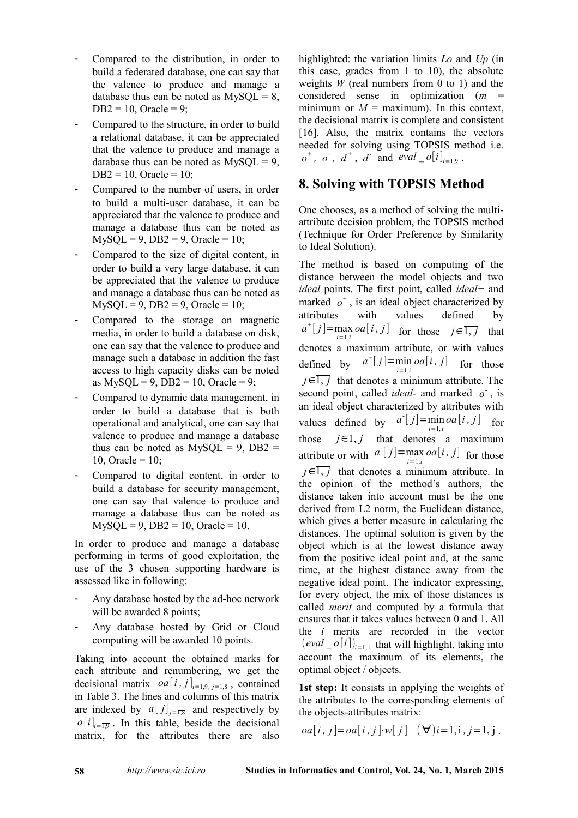- Compared to the distribution, in order to build a federated database, one can say that the valence to produce and manage a database thus can be noted as  $MySQL = 8$ ,  $DB2 = 10$ , Oracle = 9;
- Compared to the structure, in order to build a relational database, it can be appreciated that the valence to produce and manage a database thus can be noted as  $MySQL = 9$ ,  $DB2 = 10$ , Oracle = 10;
- Compared to the number of users, in order to build a multi-user database, it can be appreciated that the valence to produce and manage a database thus can be noted as  $MySQL = 9$ ,  $DB2 = 9$ ,  $Oracle = 10$ ;
- Compared to the size of digital content, in order to build a very large database, it can be appreciated that the valence to produce and manage a database thus can be noted as  $MvSOL = 9$ ,  $DB2 = 9$ ,  $Oracle = 10$ ;
- Compared to the storage on magnetic media, in order to build a database on disk, one can say that the valence to produce and manage such a database in addition the fast access to high capacity disks can be noted as  $MvSOL = 9$ ,  $DB2 = 10$ ,  $Oracle = 9$ ;
- Compared to dynamic data management, in order to build a database that is both operational and analytical, one can say that valence to produce and manage a database thus can be noted as  $MySQL = 9$ ,  $DB2 =$ 10, Oracle =  $10$ ;
- Compared to digital content, in order to build a database for security management, one can say that valence to produce and manage a database thus can be noted as  $MySQL = 9$ ,  $DB2 = 10$ ,  $Oracle = 10$ .

In order to produce and manage a database performing in terms of good exploitation, the use of the 3 chosen supporting hardware is assessed like in following:

- Any database hosted by the ad-hoc network will be awarded 8 points;
- Any database hosted by Grid or Cloud computing will be awarded 10 points.

Taking into account the obtained marks for each attribute and renumbering, we get the decisional matrix  $oa[i, j]_{i=\overline{1,9}, j=\overline{1,8}}$ , contained in Table 3. The lines and columns of this matrix are indexed by  $a[j]_{j=\overline{1,8}}$  and respectively by  $o[i]_{i=\overline{1,9}}$ . In this table, beside the decisional matrix, for the attributes there are also

highlighted: the variation limits *Lo* and *Up* (in this case, grades from 1 to 10), the absolute weights  $W$  (real numbers from 0 to 1) and the considered sense in optimization (*m* = minimum or  $M =$  maximum). In this context, the decisional matrix is complete and consistent [16]. Also, the matrix contains the vectors needed for solving using TOPSIS method i.e.  $o^+$ ,  $o^-$ ,  $d^+$ ,  $d^-$  and  $eval\_o[i]_{i=1,9}$ .

## **8. Solving with TOPSIS Method**

One chooses, as a method of solving the multiattribute decision problem, the TOPSIS method (Technique for Order Preference by Similarity to Ideal Solution).

The method is based on computing of the distance between the model objects and two *ideal* points. The first point, called *ideal+* and marked  $o^+$ , is an ideal object characterized by attributes with values defined by  $a^{\dagger}[j] = \max_{i \in \overline{\mathbb{Z}}}\text{oa}[i, j]$  for those  $j \in \overline{1, j}$  that *i*=1,*i* denotes a maximum attribute, or with values defined by  $a^{\dagger}[j] = \min_{i} oa[i, j]$  for those *i*=1,*i*  $j \in \overline{1, j}$  that denotes a minimum attribute. The second point, called *ideal*- and marked  $o^{\dagger}$ , is an ideal object characterized by attributes with values defined by  $a^{\dagger}[j] = \min_{i=1,i} o a[i, j]$  for those  $j \in 1, j$  that denotes a maximum attribute or with  $a^{\dagger}[j] = \max_{i=\overline{1,i}} oa[i, j]$  for those  $j \in \overline{1, j}$  that denotes a minimum attribute. In the opinion of the method's authors, the distance taken into account must be the one derived from L2 norm, the Euclidean distance, which gives a better measure in calculating the distances. The optimal solution is given by the object which is at the lowest distance away from the positive ideal point and, at the same time, at the highest distance away from the negative ideal point. The indicator expressing, for every object, the mix of those distances is called *merit* and computed by a formula that ensures that it takes values between 0 and 1. All the *i* merits are recorded in the vector (*eval*  $o[i]$ )<sub>*i*= $\overline{1}$ </sub> that will highlight, taking into account the maximum of its elements, the optimal object / objects.

1st step: It consists in applying the weights of the attributes to the corresponding elements of the objects-attributes matrix:

$$
oa[i, j] = oa[i, j] \cdot w[j] \quad (\forall) i = \overline{1, i}, j = \overline{1, j}.
$$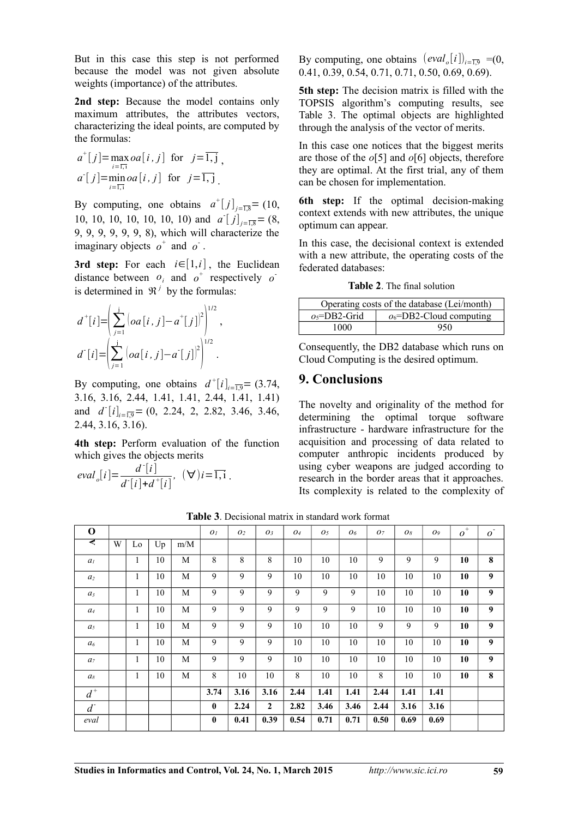But in this case this step is not performed because the model was not given absolute weights (importance) of the attributes.

2nd step: Because the model contains only maximum attributes, the attributes vectors, characterizing the ideal points, are computed by the formulas:

$$
a^+[j] = \max_{i=\overline{1,1}} oa[i,j] \text{ for } j=\overline{1,j},
$$
  
 
$$
a^+[j] = \min_{i=\overline{1,1}} oa[i,j] \text{ for } j=\overline{1,j}.
$$

By computing, one obtains  $a^{\dagger}[j]_{j=\overline{1,8}}=(10,$ 10, 10, 10, 10, 10, 10) and  $a^{\dagger} [j]_{j=\overline{1,8}} = (8,$ 9, 9, 9, 9, 9, 9, 8), which will characterize the imaginary objects  $o^+$  and  $o^-$ .

**3rd step:** For each  $i \in [1, i]$ , the Euclidean distance between  $o_i$  and  $o^+$  respectively  $o^$ is determined in  $\mathfrak{R}^j$  by the formulas:

$$
d^{+}[i] = \left(\sum_{j=1}^{j} \left(oa[i, j] - a^{+}[j]\right)^{2}\right)^{1/2},
$$
  

$$
d^{-}[i] = \left(\sum_{j=1}^{j} \left(oa[i, j] - a^{-}[j]\right)^{2}\right)^{1/2}.
$$

By computing, one obtains  $d^{\dagger}[i]_{i=\overline{1,9}} = (3.74,$ 3.16, 3.16, 2.44, 1.41, 1.41, 2.44, 1.41, 1.41) and  $d^{\dagger}[i]_{i=\overline{1,9}} = (0, 2.24, 2, 2.82, 3.46, 3.46, ...)$ 2.44, 3.16, 3.16).

**4th step:** Perform evaluation of the function which gives the objects merits

$$
eval_o[i] = \frac{d^{\cdot}[i]}{d^{\cdot}[i] + d^{\cdot}[i]}, \ \ (\forall\,)i = \overline{1,i} \ .
$$

By computing, one obtains  $\left(\frac{eval_o[i]}{i}\right)_{i=\overline{1,9}} = (0, 1)$ 0.41, 0.39, 0.54, 0.71, 0.71, 0.50, 0.69, 0.69).

**5th step:** The decision matrix is filled with the TOPSIS algorithm's computing results, see Table 3. The optimal objects are highlighted through the analysis of the vector of merits.

In this case one notices that the biggest merits are those of the *o*[5] and *o*[6] objects, therefore they are optimal. At the first trial, any of them can be chosen for implementation.

**6th step:** If the optimal decision-making context extends with new attributes, the unique optimum can appear.

In this case, the decisional context is extended with a new attribute, the operating costs of the federated databases:

**Table 2**. The final solution

| Operating costs of the database (Lei/month) |                            |  |  |  |  |  |  |
|---------------------------------------------|----------------------------|--|--|--|--|--|--|
| $o5=DB2-Grid$                               | $o_6$ =DB2-Cloud computing |  |  |  |  |  |  |
| 1000                                        | 950                        |  |  |  |  |  |  |

Consequently, the DB2 database which runs on Cloud Computing is the desired optimum.

#### **9. Conclusions**

The novelty and originality of the method for determining the optimal torque software infrastructure - hardware infrastructure for the acquisition and processing of data related to computer anthropic incidents produced by using cyber weapons are judged according to research in the border areas that it approaches. Its complexity is related to the complexity of

**Table 3**. Decisional matrix in standard work format

| $\mathbf 0$    |   |              |    |     | O <sub>I</sub> | O <sub>2</sub> | O <sub>3</sub> | 04   | O <sub>5</sub> | 06   | 07   | 08   | 09   | $o^*$ | $\overline{O}$ |
|----------------|---|--------------|----|-----|----------------|----------------|----------------|------|----------------|------|------|------|------|-------|----------------|
| Ą              | W | Lo           | Up | m/M |                |                |                |      |                |      |      |      |      |       |                |
| a <sub>I</sub> |   | 1            | 10 | M   | 8              | 8              | 8              | 10   | 10             | 10   | 9    | 9    | 9    | 10    | 8              |
| a <sub>2</sub> |   | 1            | 10 | M   | 9              | 9              | 9              | 10   | 10             | 10   | 10   | 10   | 10   | 10    | 9              |
| $a_3$          |   | 1            | 10 | M   | 9              | 9              | 9              | 9    | 9              | 9    | 10   | 10   | 10   | 10    | 9              |
| $a_4$          |   | 1            | 10 | M   | 9              | 9              | 9              | 9    | 9              | 9    | 10   | 10   | 10   | 10    | 9              |
| a <sub>5</sub> |   | 1            | 10 | M   | 9              | 9              | 9              | 10   | 10             | 10   | 9    | 9    | 9    | 10    | 9              |
| a <sub>6</sub> |   | $\mathbf{1}$ | 10 | M   | 9              | 9              | 9              | 10   | 10             | 10   | 10   | 10   | 10   | 10    | 9              |
| a <sub>7</sub> |   | 1            | 10 | M   | 9              | 9              | 9              | 10   | 10             | 10   | 10   | 10   | 10   | 10    | 9              |
| a <sub>s</sub> |   | 1            | 10 | M   | 8              | 10             | 10             | 8    | 10             | 10   | 8    | 10   | 10   | 10    | 8              |
| $d^+$          |   |              |    |     | 3.74           | 3.16           | 3.16           | 2.44 | 1.41           | 1.41 | 2.44 | 1.41 | 1.41 |       |                |
| $d^{\dagger}$  |   |              |    |     | $\bf{0}$       | 2.24           | $\mathbf{2}$   | 2.82 | 3.46           | 3.46 | 2.44 | 3.16 | 3.16 |       |                |
| eval           |   |              |    |     | $\bf{0}$       | 0.41           | 0.39           | 0.54 | 0.71           | 0.71 | 0.50 | 0.69 | 0.69 |       |                |